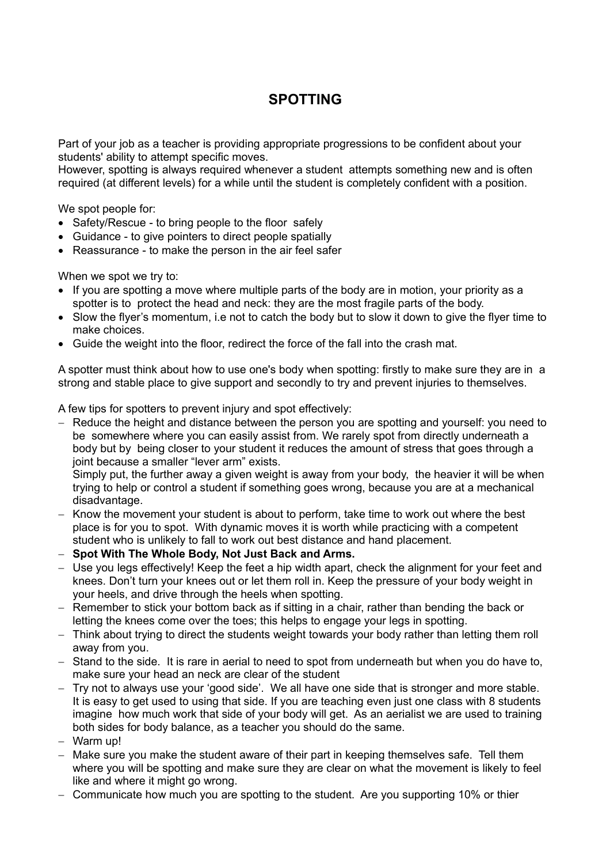## **SPOTTING**

Part of your job as a teacher is providing appropriate progressions to be confident about your students' ability to attempt specific moves.

However, spotting is always required whenever a student attempts something new and is often required (at different levels) for a while until the student is completely confident with a position.

We spot people for:

- Safety/Rescue to bring people to the floor safely
- Guidance to give pointers to direct people spatially
- Reassurance to make the person in the air feel safer

When we spot we try to:

- If you are spotting a move where multiple parts of the body are in motion, your priority as a spotter is to protect the head and neck: they are the most fragile parts of the body.
- Slow the flyer's momentum, i.e not to catch the body but to slow it down to give the flyer time to make choices.
- Guide the weight into the floor, redirect the force of the fall into the crash mat.

A spotter must think about how to use one's body when spotting: firstly to make sure they are in a strong and stable place to give support and secondly to try and prevent injuries to themselves.

A few tips for spotters to prevent injury and spot effectively:

- Reduce the height and distance between the person you are spotting and yourself: you need to be somewhere where you can easily assist from. We rarely spot from directly underneath a body but by being closer to your student it reduces the amount of stress that goes through a joint because a smaller "lever arm" exists.

Simply put, the further away a given weight is away from your body, the heavier it will be when trying to help or control a student if something goes wrong, because you are at a mechanical disadvantage.

- Know the movement your student is about to perform, take time to work out where the best place is for you to spot. With dynamic moves it is worth while practicing with a competent student who is unlikely to fall to work out best distance and hand placement.
- **Spot With The Whole Body, Not Just Back and Arms.**
- Use you legs effectively! Keep the feet a hip width apart, check the alignment for your feet and knees. Don't turn your knees out or let them roll in. Keep the pressure of your body weight in your heels, and drive through the heels when spotting.
- $-$  Remember to stick your bottom back as if sitting in a chair, rather than bending the back or letting the knees come over the toes; this helps to engage your legs in spotting.
- Think about trying to direct the students weight towards your body rather than letting them roll away from you.
- $-$  Stand to the side. It is rare in aerial to need to spot from underneath but when you do have to, make sure your head an neck are clear of the student
- Try not to always use your 'good side'. We all have one side that is stronger and more stable. It is easy to get used to using that side. If you are teaching even just one class with 8 students imagine how much work that side of your body will get. As an aerialist we are used to training both sides for body balance, as a teacher you should do the same.
- Warm up!
- Make sure you make the student aware of their part in keeping themselves safe. Tell them where you will be spotting and make sure they are clear on what the movement is likely to feel like and where it might go wrong.
- Communicate how much you are spotting to the student. Are you supporting 10% or thier